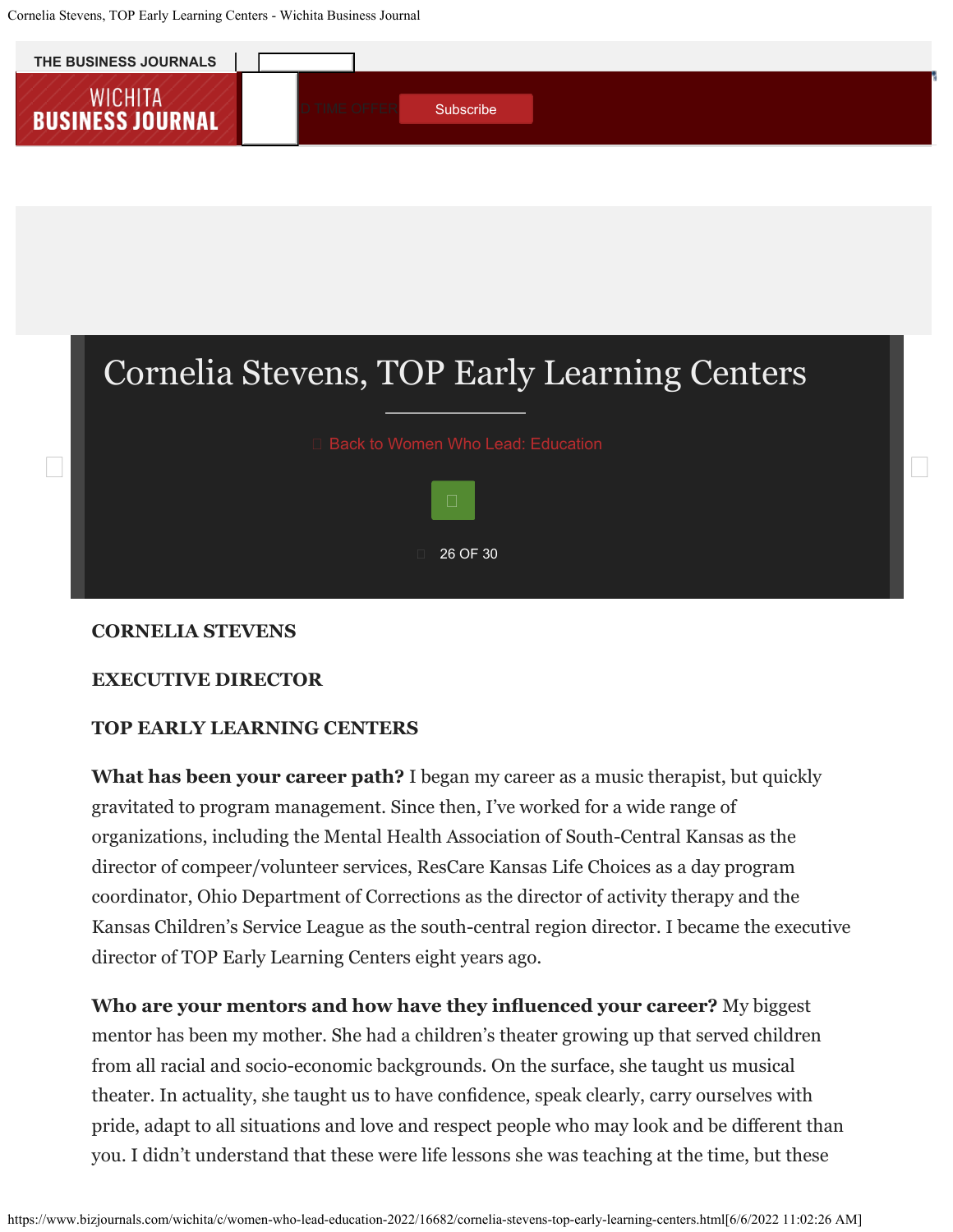Cornelia Stevens, TOP Early Learning Centers - Wichita Business Journal



# Cornelia Stevens, TOP Early Learning Centers



#### **CORNELIA STEVENS**

#### **EXECUTIVE DIRECTOR**

#### **TOP EARLY LEARNING CENTERS**

**What has been your career path?** I began my career as a music therapist, but quickly gravitated to program management. Since then, I've worked for a wide range of organizations, including the Mental Health Association of South-Central Kansas as the director of compeer/volunteer services, ResCare Kansas Life Choices as a day program coordinator, Ohio Department of Corrections as the director of activity therapy and the Kansas Children's Service League as the south-central region director. I became the executive director of TOP Early Learning Centers eight years ago.

**Who are your mentors and how have they infuenced your career?** My biggest mentor has been my mother. She had a children's theater growing up that served children from all racial and socio-economic backgrounds. On the surface, she taught us musical theater. In actuality, she taught us to have confdence, speak clearly, carry ourselves with pride, adapt to all situations and love and respect people who may look and be diferent than you. I didn't understand that these were life lessons she was teaching at the time, but these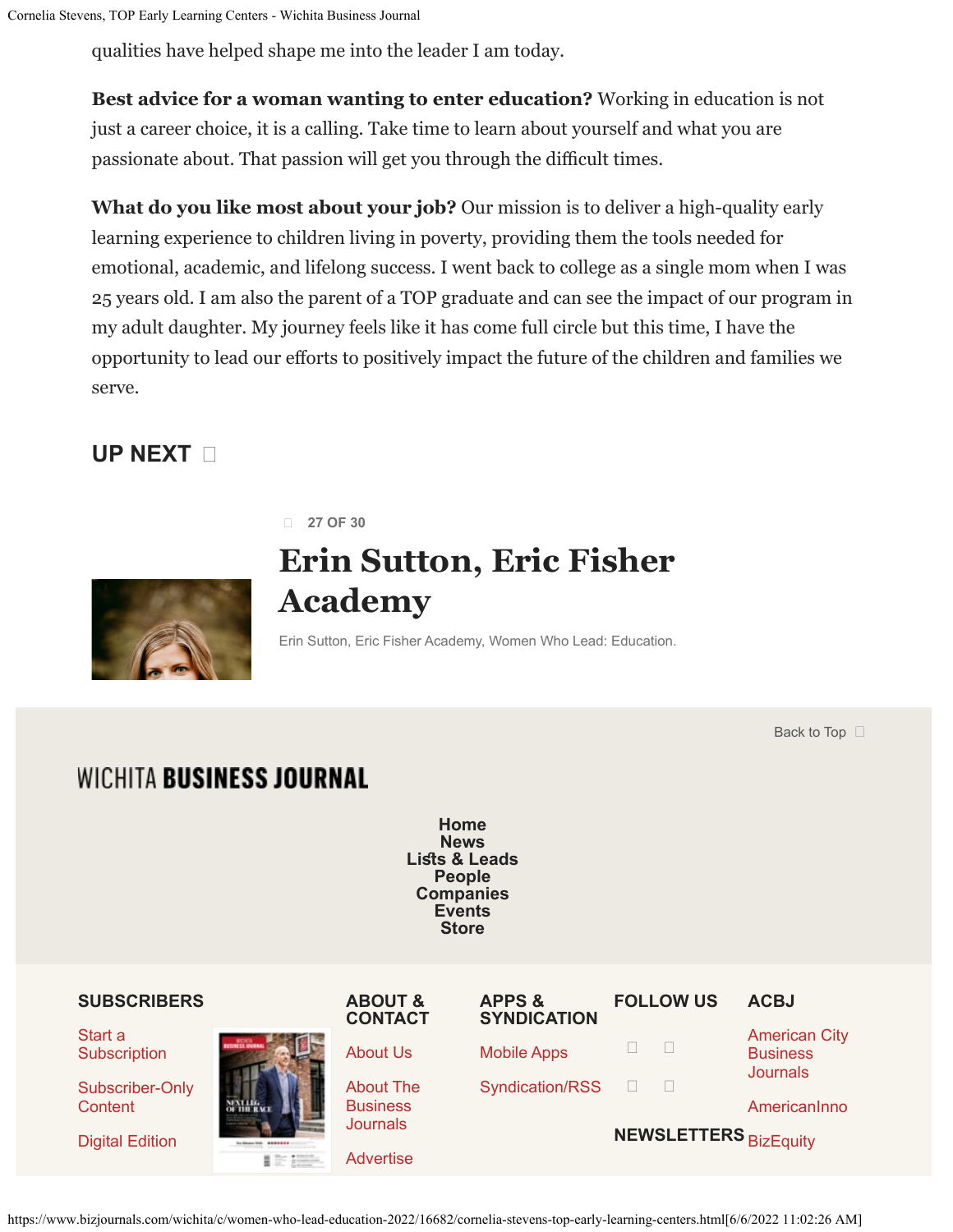qualities have helped shape me into the leader I am today.

**Best advice for a woman wanting to enter education?** Working in education is not just a career choice, it is a calling. Take time to learn about yourself and what you are passionate about. That passion will get you through the difficult times.

**What do you like most about your job?** Our mission is to deliver a high-quality early learning experience to children living in poverty, providing them the tools needed for emotional, academic, and lifelong success. I went back to college as a single mom when I was 25 years old. I am also the parent of a TOP graduate and can see the impact of our program in my adult daughter. My journey feels like it has come full circle but this time, I have the opportunity to lead our eforts to positively impact the future of the children and families we serve.

### **[UP NEXT](https://www.bizjournals.com/wichita/c/women-who-lead-education-2022/16683/erin-sutton-eric-fisher-academy.html)**

**27 OF 30**

## **Erin Sutton, Eric Fisher Academy**

Erin Sutton, Eric Fisher Academy, Women Who Lead: Education.

[Back to Top](javascript:void(0);)  $\Box$ 

### **WICHITA BUSINESS JOURNAL**

**[Home](https://www.bizjournals.com/wichita) [News](https://www.bizjournals.com/wichita/news) Lists & Leads [People](https://www.bizjournals.com/wichita/potm) [Companies](https://www.bizjournals.com/wichita/datacenter/companies) [Events](https://www.bizjournals.com/wichita/calendar) [Store](https://promo.bizjournals.com/wichita/store/)**

| <b>SUBSCRIBERS</b>         |                                         | <b>ABOUT &amp;</b><br><b>CONTACT</b> | <b>APPS &amp;</b><br><b>SYNDICATION</b> | <b>FOLLOW US</b>             | <b>ACBJ</b>                                                |
|----------------------------|-----------------------------------------|--------------------------------------|-----------------------------------------|------------------------------|------------------------------------------------------------|
| Start a<br>Subscription    | <b>So Means With BREEZER</b><br>■ 时 排除。 | <b>About Us</b>                      | <b>Mobile Apps</b>                      |                              | <b>American City</b><br><b>Business</b><br><b>Journals</b> |
| Subscriber-Only<br>Content |                                         | <b>About The</b><br><b>Business</b>  | <b>Syndication/RSS</b>                  |                              | AmericanInno                                               |
| <b>Digital Edition</b>     |                                         | <b>Journals</b><br>Advertise         |                                         | <b>NEWSLETTERS</b> BizEquity |                                                            |

https://www.bizjournals.com/wichita/c/women-who-lead-education-2022/16682/cornelia-stevens-top-early-learning-centers.html[6/6/2022 11:02:26 AM]